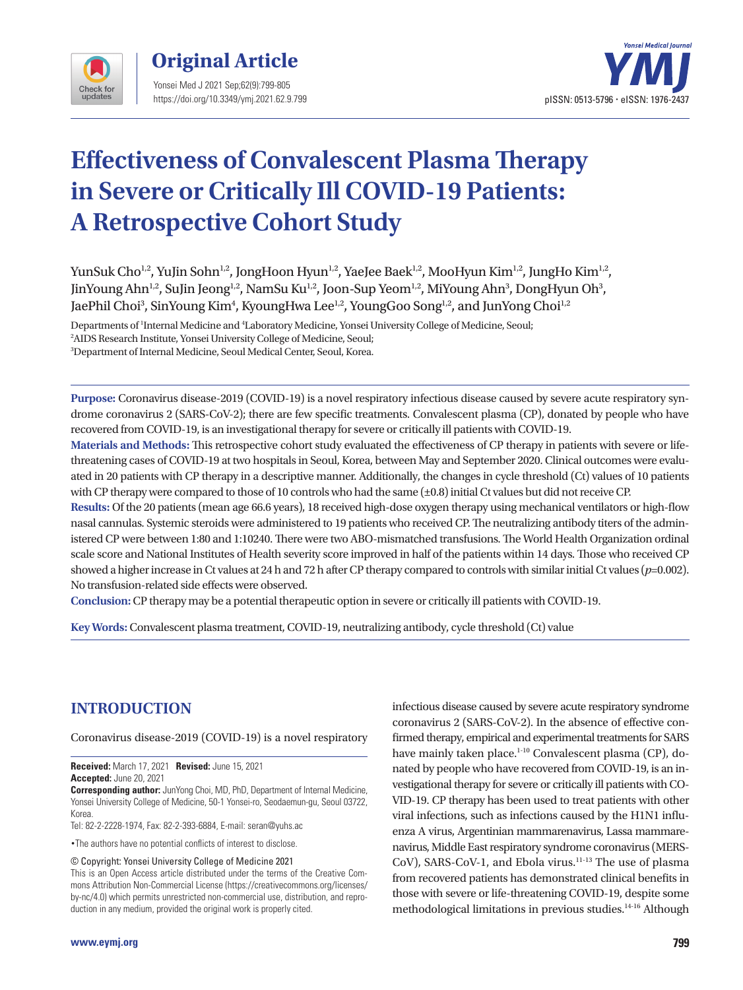



# **Effectiveness of Convalescent Plasma Therapy in Severe or Critically Ill COVID-19 Patients: A Retrospective Cohort Study**

YunSuk Cho<sup>1,2</sup>, YuJin Sohn<sup>1,2</sup>, JongHoon Hyun<sup>1,2</sup>, YaeJee Baek<sup>1,2</sup>, MooHyun Kim<sup>1,2</sup>, JungHo Kim<sup>1,2</sup>, JinYoung Ahn<sup>1,2</sup>, SuJin Jeong<sup>1,2</sup>, NamSu Ku<sup>1,2</sup>, Joon-Sup Yeom<sup>1,2</sup>, MiYoung Ahn<sup>3</sup>, DongHyun Oh<sup>3</sup>, JaePhil Choi<sup>3</sup>, SinYoung Kim<sup>4</sup>, KyoungHwa Lee<sup>1,2</sup>, YoungGoo Song<sup>1,2</sup>, and JunYong Choi<sup>1,2</sup>

Departments of <sup>1</sup>Internal Medicine and <sup>4</sup>Laboratory Medicine, Yonsei University College of Medicine, Seoul;

2 AIDS Research Institute, Yonsei University College of Medicine, Seoul;

3 Department of Internal Medicine, Seoul Medical Center, Seoul, Korea.

**Purpose:** Coronavirus disease-2019 (COVID-19) is a novel respiratory infectious disease caused by severe acute respiratory syndrome coronavirus 2 (SARS-CoV-2); there are few specific treatments. Convalescent plasma (CP), donated by people who have recovered from COVID-19, is an investigational therapy for severe or critically ill patients with COVID-19.

**Materials and Methods:** This retrospective cohort study evaluated the effectiveness of CP therapy in patients with severe or lifethreatening cases of COVID-19 at two hospitals in Seoul, Korea, between May and September 2020. Clinical outcomes were evaluated in 20 patients with CP therapy in a descriptive manner. Additionally, the changes in cycle threshold (Ct) values of 10 patients with CP therapy were compared to those of 10 controls who had the same ( $\pm$ 0.8) initial Ct values but did not receive CP.

**Results:** Of the 20 patients (mean age 66.6 years), 18 received high-dose oxygen therapy using mechanical ventilators or high-flow nasal cannulas. Systemic steroids were administered to 19 patients who received CP. The neutralizing antibody titers of the administered CP were between 1:80 and 1:10240. There were two ABO-mismatched transfusions. The World Health Organization ordinal scale score and National Institutes of Health severity score improved in half of the patients within 14 days. Those who received CP showed a higher increase in Ct values at 24 h and 72 h after CP therapy compared to controls with similar initial Ct values (*p*=0.002). No transfusion-related side effects were observed.

**Conclusion:** CP therapy may be a potential therapeutic option in severe or critically ill patients with COVID-19.

**Key Words:** Convalescent plasma treatment, COVID-19, neutralizing antibody, cycle threshold (Ct) value

# **INTRODUCTION**

Coronavirus disease-2019 (COVID-19) is a novel respiratory

**Received:** March 17, 2021 **Revised:** June 15, 2021 **Accepted:** June 20, 2021

**Corresponding author:** JunYong Choi, MD, PhD, Department of Internal Medicine, Yonsei University College of Medicine, 50-1 Yonsei-ro, Seodaemun-gu, Seoul 03722, Korea.

Tel: 82-2-2228-1974, Fax: 82-2-393-6884, E-mail: seran@yuhs.ac

•The authors have no potential conflicts of interest to disclose.

© Copyright: Yonsei University College of Medicine 2021

This is an Open Access article distributed under the terms of the Creative Commons Attribution Non-Commercial License (https://creativecommons.org/licenses/ by-nc/4.0) which permits unrestricted non-commercial use, distribution, and reproduction in any medium, provided the original work is properly cited.

infectious disease caused by severe acute respiratory syndrome coronavirus 2 (SARS-CoV-2). In the absence of effective confirmed therapy, empirical and experimental treatments for SARS have mainly taken place.<sup>1-10</sup> Convalescent plasma (CP), donated by people who have recovered from COVID-19, is an investigational therapy for severe or critically ill patients with CO-VID-19. CP therapy has been used to treat patients with other viral infections, such as infections caused by the H1N1 influenza A virus, Argentinian mammarenavirus, Lassa mammarenavirus, Middle East respiratory syndrome coronavirus (MERS-CoV), SARS-CoV-1, and Ebola virus.<sup>11-13</sup> The use of plasma from recovered patients has demonstrated clinical benefits in those with severe or life-threatening COVID-19, despite some methodological limitations in previous studies.<sup>14-16</sup> Although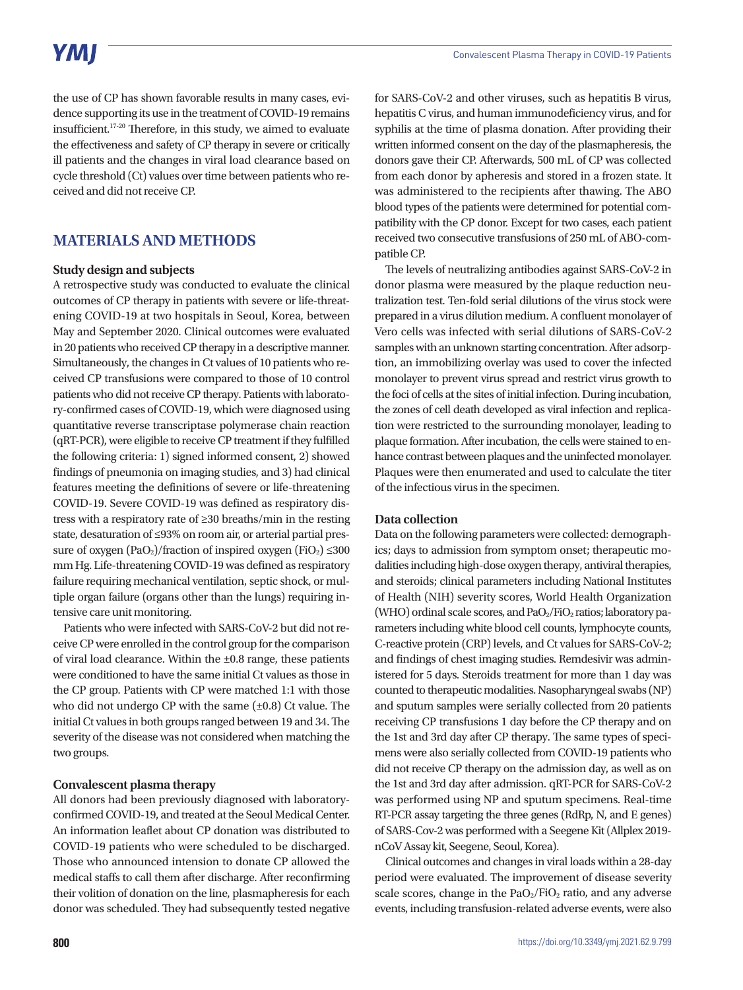the use of CP has shown favorable results in many cases, evidence supporting its use in the treatment of COVID-19 remains insufficient.17-20 Therefore, in this study, we aimed to evaluate the effectiveness and safety of CP therapy in severe or critically ill patients and the changes in viral load clearance based on cycle threshold (Ct) values over time between patients who received and did not receive CP.

# **MATERIALS AND METHODS**

### **Study design and subjects**

A retrospective study was conducted to evaluate the clinical outcomes of CP therapy in patients with severe or life-threatening COVID-19 at two hospitals in Seoul, Korea, between May and September 2020. Clinical outcomes were evaluated in 20 patients who received CP therapy in a descriptive manner. Simultaneously, the changes in Ct values of 10 patients who received CP transfusions were compared to those of 10 control patients who did not receive CP therapy. Patients with laboratory-confirmed cases of COVID-19, which were diagnosed using quantitative reverse transcriptase polymerase chain reaction (qRT-PCR), were eligible to receive CP treatment if they fulfilled the following criteria: 1) signed informed consent, 2) showed findings of pneumonia on imaging studies, and 3) had clinical features meeting the definitions of severe or life-threatening COVID-19. Severe COVID-19 was defined as respiratory distress with a respiratory rate of ≥30 breaths/min in the resting state, desaturation of ≤93% on room air, or arterial partial pressure of oxygen  $(PaO_2)/$ fraction of inspired oxygen  $(FiO_2) \leq 300$ mm Hg. Life-threatening COVID-19 was defined as respiratory failure requiring mechanical ventilation, septic shock, or multiple organ failure (organs other than the lungs) requiring intensive care unit monitoring.

Patients who were infected with SARS-CoV-2 but did not receive CP were enrolled in the control group for the comparison of viral load clearance. Within the ±0.8 range, these patients were conditioned to have the same initial Ct values as those in the CP group. Patients with CP were matched 1:1 with those who did not undergo CP with the same (±0.8) Ct value. The initial Ct values in both groups ranged between 19 and 34. The severity of the disease was not considered when matching the two groups.

### **Convalescent plasma therapy**

All donors had been previously diagnosed with laboratoryconfirmed COVID-19, and treated at the Seoul Medical Center. An information leaflet about CP donation was distributed to COVID-19 patients who were scheduled to be discharged. Those who announced intension to donate CP allowed the medical staffs to call them after discharge. After reconfirming their volition of donation on the line, plasmapheresis for each donor was scheduled. They had subsequently tested negative

for SARS-CoV-2 and other viruses, such as hepatitis B virus, hepatitis C virus, and human immunodeficiency virus, and for syphilis at the time of plasma donation. After providing their written informed consent on the day of the plasmapheresis, the donors gave their CP. Afterwards, 500 mL of CP was collected from each donor by apheresis and stored in a frozen state. It was administered to the recipients after thawing. The ABO blood types of the patients were determined for potential compatibility with the CP donor. Except for two cases, each patient received two consecutive transfusions of 250 mL of ABO-compatible CP.

The levels of neutralizing antibodies against SARS-CoV-2 in donor plasma were measured by the plaque reduction neutralization test. Ten-fold serial dilutions of the virus stock were prepared in a virus dilution medium. A confluent monolayer of Vero cells was infected with serial dilutions of SARS-CoV-2 samples with an unknown starting concentration. After adsorption, an immobilizing overlay was used to cover the infected monolayer to prevent virus spread and restrict virus growth to the foci of cells at the sites of initial infection. During incubation, the zones of cell death developed as viral infection and replication were restricted to the surrounding monolayer, leading to plaque formation. After incubation, the cells were stained to enhance contrast between plaques and the uninfected monolayer. Plaques were then enumerated and used to calculate the titer of the infectious virus in the specimen.

### **Data collection**

Data on the following parameters were collected: demographics; days to admission from symptom onset; therapeutic modalities including high-dose oxygen therapy, antiviral therapies, and steroids; clinical parameters including National Institutes of Health (NIH) severity scores, World Health Organization (WHO) ordinal scale scores, and  $PaO<sub>2</sub>/FiO<sub>2</sub>$  ratios; laboratory parameters including white blood cell counts, lymphocyte counts, C-reactive protein (CRP) levels, and Ct values for SARS-CoV-2; and findings of chest imaging studies. Remdesivir was administered for 5 days. Steroids treatment for more than 1 day was counted to therapeutic modalities. Nasopharyngeal swabs (NP) and sputum samples were serially collected from 20 patients receiving CP transfusions 1 day before the CP therapy and on the 1st and 3rd day after CP therapy. The same types of specimens were also serially collected from COVID-19 patients who did not receive CP therapy on the admission day, as well as on the 1st and 3rd day after admission. qRT-PCR for SARS-CoV-2 was performed using NP and sputum specimens. Real-time RT-PCR assay targeting the three genes (RdRp, N, and E genes) of SARS-Cov-2 was performed with a Seegene Kit (Allplex 2019 nCoV Assay kit, Seegene, Seoul, Korea).

Clinical outcomes and changes in viral loads within a 28-day period were evaluated. The improvement of disease severity scale scores, change in the  $PaO<sub>2</sub>/FiO<sub>2</sub>$  ratio, and any adverse events, including transfusion-related adverse events, were also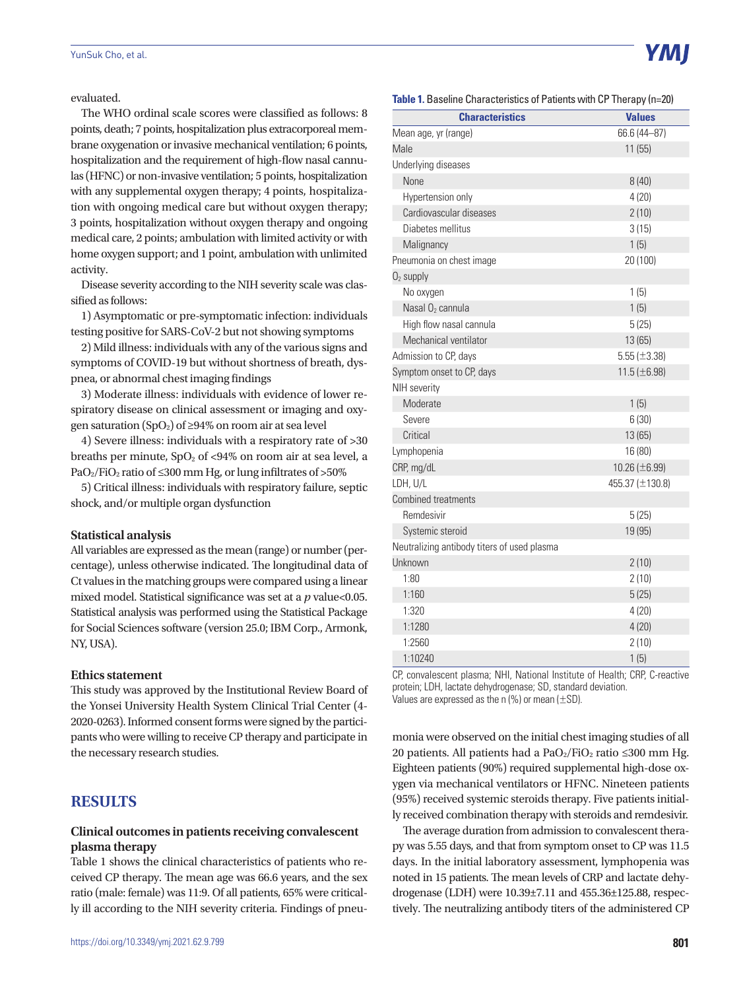evaluated.

The WHO ordinal scale scores were classified as follows: 8 points, death; 7 points, hospitalization plus extracorporeal membrane oxygenation or invasive mechanical ventilation; 6 points, hospitalization and the requirement of high-flow nasal cannulas (HFNC) or non-invasive ventilation; 5 points, hospitalization with any supplemental oxygen therapy; 4 points, hospitalization with ongoing medical care but without oxygen therapy; 3 points, hospitalization without oxygen therapy and ongoing medical care, 2 points; ambulation with limited activity or with home oxygen support; and 1 point, ambulation with unlimited activity.

Disease severity according to the NIH severity scale was classified as follows:

1) Asymptomatic or pre-symptomatic infection: individuals testing positive for SARS-CoV-2 but not showing symptoms

2) Mild illness: individuals with any of the various signs and symptoms of COVID-19 but without shortness of breath, dyspnea, or abnormal chest imaging findings

3) Moderate illness: individuals with evidence of lower respiratory disease on clinical assessment or imaging and oxygen saturation (SpO<sub>2</sub>) of ≥94% on room air at sea level

4) Severe illness: individuals with a respiratory rate of >30 breaths per minute,  $SpO<sub>2</sub>$  of <94% on room air at sea level, a PaO<sub>2</sub>/FiO<sub>2</sub> ratio of ≤300 mm Hg, or lung infiltrates of >50%

5) Critical illness: individuals with respiratory failure, septic shock, and/or multiple organ dysfunction

#### **Statistical analysis**

All variables are expressed as the mean (range) or number (percentage), unless otherwise indicated. The longitudinal data of Ct values in the matching groups were compared using a linear mixed model. Statistical significance was set at a *p* value<0.05. Statistical analysis was performed using the Statistical Package for Social Sciences software (version 25.0; IBM Corp., Armonk, NY, USA).

#### **Ethics statement**

This study was approved by the Institutional Review Board of the Yonsei University Health System Clinical Trial Center (4- 2020-0263). Informed consent forms were signed by the participants who were willing to receive CP therapy and participate in the necessary research studies.

## **RESULTS**

#### **Clinical outcomes in patients receiving convalescent plasma therapy**

Table 1 shows the clinical characteristics of patients who received CP therapy. The mean age was 66.6 years, and the sex ratio (male: female) was 11:9. Of all patients, 65% were critically ill according to the NIH severity criteria. Findings of pneu-



**Table 1.** Baseline Characteristics of Patients with CP Therapy (n=20)

| <b>Characteristics</b>                      | <b>Values</b>      |
|---------------------------------------------|--------------------|
| Mean age, yr (range)                        | 66.6 (44-87)       |
| Male                                        | 11(55)             |
| Underlying diseases                         |                    |
| None                                        | 8(40)              |
| Hypertension only                           | 4(20)              |
| Cardiovascular diseases                     | 2(10)              |
| Diabetes mellitus                           | 3(15)              |
| Malignancy                                  | 1(5)               |
| Pneumonia on chest image                    | 20 (100)           |
| $O2$ supply                                 |                    |
| No oxygen                                   | 1(5)               |
| Nasal O <sub>2</sub> cannula                | 1(5)               |
| High flow nasal cannula                     | 5(25)              |
| Mechanical ventilator                       | 13 (65)            |
| Admission to CP, days                       | $5.55 (\pm 3.38)$  |
| Symptom onset to CP, days                   | 11.5 ( $\pm$ 6.98) |
| NIH severity                                |                    |
| Moderate                                    | 1(5)               |
| Severe                                      | 6(30)              |
| Critical                                    | 13 (65)            |
| Lymphopenia                                 | 16 (80)            |
| CRP, mg/dL                                  | 10.26 (±6.99)      |
| LDH, U/L                                    | 455.37 (±130.8)    |
| <b>Combined treatments</b>                  |                    |
| Remdesivir                                  | 5(25)              |
| Systemic steroid                            | 19 (95)            |
| Neutralizing antibody titers of used plasma |                    |
| Unknown                                     | 2(10)              |
| 1:80                                        | 2(10)              |
| 1:160                                       | 5(25)              |
| 1:320                                       | 4(20)              |
| 1:1280                                      | 4(20)              |
| 1:2560                                      | 2(10)              |
| 1:10240                                     | 1(5)               |

CP, convalescent plasma; NHI, National Institute of Health; CRP, C-reactive protein; LDH, lactate dehydrogenase; SD, standard deviation. Values are expressed as the n  $(\%)$  or mean  $(\pm SD)$ .

monia were observed on the initial chest imaging studies of all 20 patients. All patients had a PaO $_2$ /FiO<sub>2</sub> ratio ≤300 mm Hg. Eighteen patients (90%) required supplemental high-dose oxygen via mechanical ventilators or HFNC. Nineteen patients (95%) received systemic steroids therapy. Five patients initially received combination therapy with steroids and remdesivir.

The average duration from admission to convalescent therapy was 5.55 days, and that from symptom onset to CP was 11.5 days. In the initial laboratory assessment, lymphopenia was noted in 15 patients. The mean levels of CRP and lactate dehydrogenase (LDH) were 10.39±7.11 and 455.36±125.88, respectively. The neutralizing antibody titers of the administered CP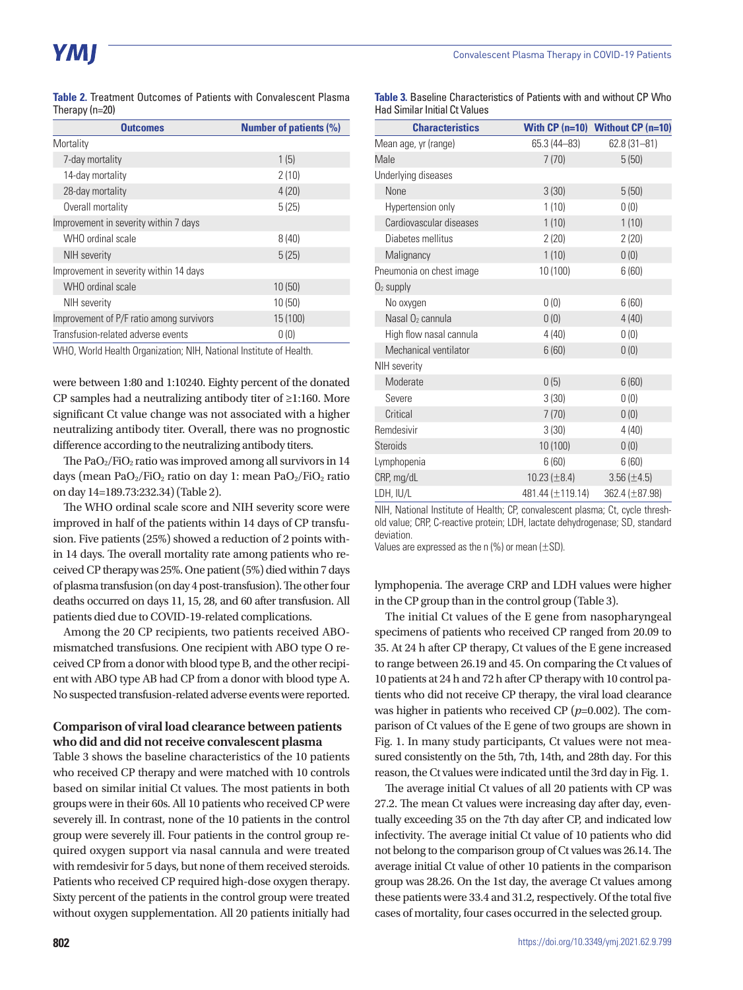| <b>Table 2.</b> Treatment Outcomes of Patients with Convalescent Plasma |  |  |  |
|-------------------------------------------------------------------------|--|--|--|
| Therapy $(n=20)$                                                        |  |  |  |

| <b>Outcomes</b>                          | <b>Number of patients (%)</b> |
|------------------------------------------|-------------------------------|
| Mortality                                |                               |
| 7-day mortality                          | 1(5)                          |
| 14-day mortality                         | 2(10)                         |
| 28-day mortality                         | 4(20)                         |
| Overall mortality                        | 5(25)                         |
| Improvement in severity within 7 days    |                               |
| WHO ordinal scale                        | 8(40)                         |
| <b>NIH</b> severity                      | 5(25)                         |
| Improvement in severity within 14 days   |                               |
| WHO ordinal scale                        | 10(50)                        |
| <b>NIH</b> severity                      | 10(50)                        |
| Improvement of P/F ratio among survivors | 15 (100)                      |
| Transfusion-related adverse events       | 0(0)                          |
|                                          |                               |

WHO, World Health Organization; NIH, National Institute of Health.

were between 1:80 and 1:10240. Eighty percent of the donated CP samples had a neutralizing antibody titer of ≥1:160. More significant Ct value change was not associated with a higher neutralizing antibody titer. Overall, there was no prognostic difference according to the neutralizing antibody titers.

The  $PaO<sub>2</sub>/FiO<sub>2</sub>$  ratio was improved among all survivors in 14 days (mean PaO<sub>2</sub>/FiO<sub>2</sub> ratio on day 1: mean PaO<sub>2</sub>/FiO<sub>2</sub> ratio on day 14=189.73:232.34) (Table 2).

The WHO ordinal scale score and NIH severity score were improved in half of the patients within 14 days of CP transfusion. Five patients (25%) showed a reduction of 2 points within 14 days. The overall mortality rate among patients who received CP therapy was 25%. One patient (5%) died within 7 days of plasma transfusion (on day 4 post-transfusion). The other four deaths occurred on days 11, 15, 28, and 60 after transfusion. All patients died due to COVID-19-related complications.

Among the 20 CP recipients, two patients received ABOmismatched transfusions. One recipient with ABO type O received CP from a donor with blood type B, and the other recipient with ABO type AB had CP from a donor with blood type A. No suspected transfusion-related adverse events were reported.

#### **Comparison of viral load clearance between patients who did and did not receive convalescent plasma**

Table 3 shows the baseline characteristics of the 10 patients who received CP therapy and were matched with 10 controls based on similar initial Ct values. The most patients in both groups were in their 60s. All 10 patients who received CP were severely ill. In contrast, none of the 10 patients in the control group were severely ill. Four patients in the control group required oxygen support via nasal cannula and were treated with remdesivir for 5 days, but none of them received steroids. Patients who received CP required high-dose oxygen therapy. Sixty percent of the patients in the control group were treated without oxygen supplementation. All 20 patients initially had

| <b>Table 3.</b> Baseline Characteristics of Patients with and without CP Who |  |  |  |
|------------------------------------------------------------------------------|--|--|--|
| <b>Had Similar Initial Ct Values</b>                                         |  |  |  |

| <b>Characteristics</b>       |                    | With $CP$ (n=10) Without $CP$ (n=10) |
|------------------------------|--------------------|--------------------------------------|
| Mean age, yr (range)         | 65.3 (44-83)       | $62.8(31 - 81)$                      |
| Male                         | 7(70)              | 5(50)                                |
| Underlying diseases          |                    |                                      |
| None                         | 3(30)              | 5(50)                                |
| Hypertension only            | 1(10)              | 0(0)                                 |
| Cardiovascular diseases      | 1(10)              | 1(10)                                |
| Diabetes mellitus            | 2(20)              | 2(20)                                |
| Malignancy                   | 1(10)              | 0(0)                                 |
| Pneumonia on chest image     | 10 (100)           | 6(60)                                |
| $O2$ supply                  |                    |                                      |
| No oxygen                    | 0(0)               | 6(60)                                |
| Nasal O <sub>2</sub> cannula | 0(0)               | 4(40)                                |
| High flow nasal cannula      | 4(40)              | 0(0)                                 |
| Mechanical ventilator        | 6(60)              | 0(0)                                 |
| NIH severity                 |                    |                                      |
| Moderate                     | 0(5)               | 6(60)                                |
| Severe                       | 3(30)              | 0(0)                                 |
| Critical                     | 7(70)              | 0(0)                                 |
| Remdesivir                   | 3(30)              | 4(40)                                |
| <b>Steroids</b>              | 10 (100)           | 0(0)                                 |
| Lymphopenia                  | 6(60)              | 6(60)                                |
| CRP, mg/dL                   | 10.23 ( $\pm$ 8.4) | $3.56 (\pm 4.5)$                     |
| LDH, IU/L                    | 481.44 (±119.14)   | 362.4 (±87.98)                       |

NIH, National Institute of Health; CP, convalescent plasma; Ct, cycle threshold value; CRP, C-reactive protein; LDH, lactate dehydrogenase; SD, standard deviation.

Values are expressed as the n  $(\%)$  or mean  $(\pm SD)$ .

lymphopenia. The average CRP and LDH values were higher in the CP group than in the control group (Table 3).

The initial Ct values of the E gene from nasopharyngeal specimens of patients who received CP ranged from 20.09 to 35. At 24 h after CP therapy, Ct values of the E gene increased to range between 26.19 and 45. On comparing the Ct values of 10 patients at 24 h and 72 h after CP therapy with 10 control patients who did not receive CP therapy, the viral load clearance was higher in patients who received CP (*p*=0.002). The comparison of Ct values of the E gene of two groups are shown in Fig. 1. In many study participants, Ct values were not measured consistently on the 5th, 7th, 14th, and 28th day. For this reason, the Ct values were indicated until the 3rd day in Fig. 1.

The average initial Ct values of all 20 patients with CP was 27.2. The mean Ct values were increasing day after day, eventually exceeding 35 on the 7th day after CP, and indicated low infectivity. The average initial Ct value of 10 patients who did not belong to the comparison group of Ct values was 26.14. The average initial Ct value of other 10 patients in the comparison group was 28.26. On the 1st day, the average Ct values among these patients were 33.4 and 31.2, respectively. Of the total five cases of mortality, four cases occurred in the selected group.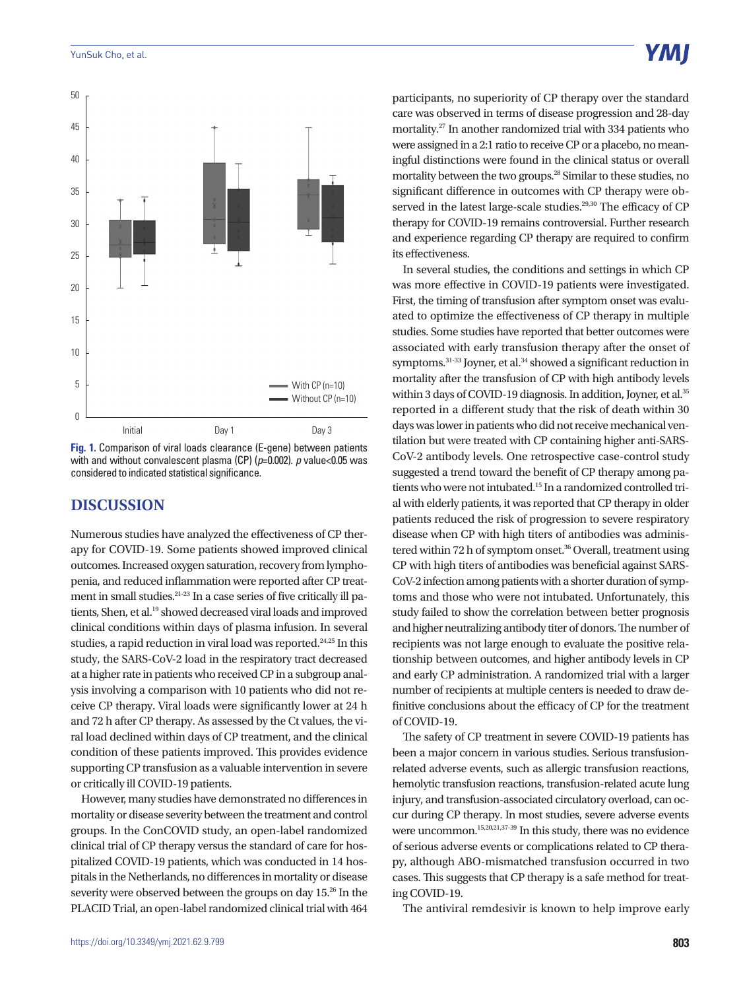

**Fig. 1.** Comparison of viral loads clearance (E-gene) between patients with and without convalescent plasma (CP) ( $p=0.002$ ). *p* value<0.05 was considered to indicated statistical significance.

### **DISCUSSION**

Numerous studies have analyzed the effectiveness of CP therapy for COVID-19. Some patients showed improved clinical outcomes. Increased oxygen saturation, recovery from lymphopenia, and reduced inflammation were reported after CP treatment in small studies.21-23 In a case series of five critically ill patients, Shen, et al.<sup>19</sup> showed decreased viral loads and improved clinical conditions within days of plasma infusion. In several studies, a rapid reduction in viral load was reported.<sup>24,25</sup> In this study, the SARS-CoV-2 load in the respiratory tract decreased at a higher rate in patients who received CP in a subgroup analysis involving a comparison with 10 patients who did not receive CP therapy. Viral loads were significantly lower at 24 h and 72 h after CP therapy. As assessed by the Ct values, the viral load declined within days of CP treatment, and the clinical condition of these patients improved. This provides evidence supporting CP transfusion as a valuable intervention in severe or critically ill COVID-19 patients.

However, many studies have demonstrated no differences in mortality or disease severity between the treatment and control groups. In the ConCOVID study, an open-label randomized clinical trial of CP therapy versus the standard of care for hospitalized COVID-19 patients, which was conducted in 14 hospitals in the Netherlands, no differences in mortality or disease severity were observed between the groups on day 15.26 In the PLACID Trial, an open-label randomized clinical trial with 464

participants, no superiority of CP therapy over the standard care was observed in terms of disease progression and 28-day mortality.27 In another randomized trial with 334 patients who were assigned in a 2:1 ratio to receive CP or a placebo, no meaningful distinctions were found in the clinical status or overall mortality between the two groups.28 Similar to these studies, no significant difference in outcomes with CP therapy were observed in the latest large-scale studies.<sup>29,30</sup> The efficacy of CP therapy for COVID-19 remains controversial. Further research and experience regarding CP therapy are required to confirm its effectiveness.

In several studies, the conditions and settings in which CP was more effective in COVID-19 patients were investigated. First, the timing of transfusion after symptom onset was evaluated to optimize the effectiveness of CP therapy in multiple studies. Some studies have reported that better outcomes were associated with early transfusion therapy after the onset of symptoms.<sup>31-33</sup> Joyner, et al.<sup>34</sup> showed a significant reduction in mortality after the transfusion of CP with high antibody levels within 3 days of COVID-19 diagnosis. In addition, Joyner, et al.<sup>35</sup> reported in a different study that the risk of death within 30 days was lower in patients who did not receive mechanical ventilation but were treated with CP containing higher anti-SARS-CoV-2 antibody levels. One retrospective case-control study suggested a trend toward the benefit of CP therapy among patients who were not intubated.15 In a randomized controlled trial with elderly patients, it was reported that CP therapy in older patients reduced the risk of progression to severe respiratory disease when CP with high titers of antibodies was administered within 72 h of symptom onset.<sup>36</sup> Overall, treatment using CP with high titers of antibodies was beneficial against SARS-CoV-2 infection among patients with a shorter duration of symptoms and those who were not intubated. Unfortunately, this study failed to show the correlation between better prognosis and higher neutralizing antibody titer of donors. The number of recipients was not large enough to evaluate the positive relationship between outcomes, and higher antibody levels in CP and early CP administration. A randomized trial with a larger number of recipients at multiple centers is needed to draw definitive conclusions about the efficacy of CP for the treatment of COVID-19.

The safety of CP treatment in severe COVID-19 patients has been a major concern in various studies. Serious transfusionrelated adverse events, such as allergic transfusion reactions, hemolytic transfusion reactions, transfusion-related acute lung injury, and transfusion-associated circulatory overload, can occur during CP therapy. In most studies, severe adverse events were uncommon.<sup>15,20,21,37-39</sup> In this study, there was no evidence of serious adverse events or complications related to CP therapy, although ABO-mismatched transfusion occurred in two cases. This suggests that CP therapy is a safe method for treating COVID-19.

The antiviral remdesivir is known to help improve early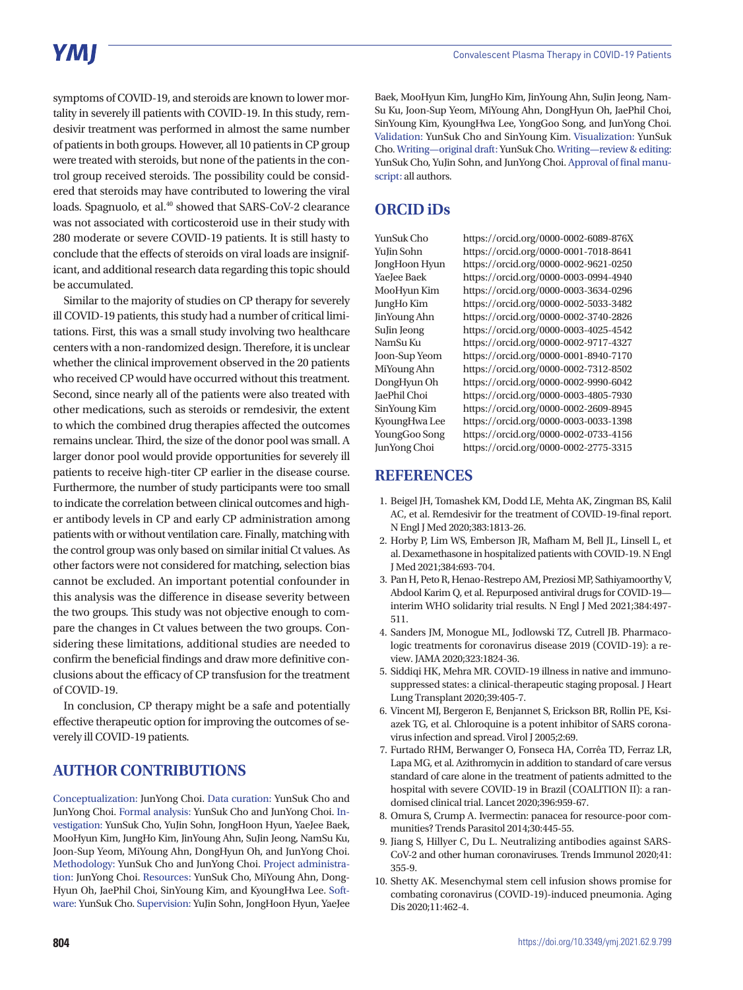# **YMI**

symptoms of COVID-19, and steroids are known to lower mortality in severely ill patients with COVID-19. In this study, remdesivir treatment was performed in almost the same number of patients in both groups. However, all 10 patients in CP group were treated with steroids, but none of the patients in the control group received steroids. The possibility could be considered that steroids may have contributed to lowering the viral loads. Spagnuolo, et al.<sup>40</sup> showed that SARS-CoV-2 clearance was not associated with corticosteroid use in their study with 280 moderate or severe COVID-19 patients. It is still hasty to conclude that the effects of steroids on viral loads are insignificant, and additional research data regarding this topic should be accumulated.

Similar to the majority of studies on CP therapy for severely ill COVID-19 patients, this study had a number of critical limitations. First, this was a small study involving two healthcare centers with a non-randomized design. Therefore, it is unclear whether the clinical improvement observed in the 20 patients who received CP would have occurred without this treatment. Second, since nearly all of the patients were also treated with other medications, such as steroids or remdesivir, the extent to which the combined drug therapies affected the outcomes remains unclear. Third, the size of the donor pool was small. A larger donor pool would provide opportunities for severely ill patients to receive high-titer CP earlier in the disease course. Furthermore, the number of study participants were too small to indicate the correlation between clinical outcomes and higher antibody levels in CP and early CP administration among patients with or without ventilation care. Finally, matching with the control group was only based on similar initial Ct values. As other factors were not considered for matching, selection bias cannot be excluded. An important potential confounder in this analysis was the difference in disease severity between the two groups. This study was not objective enough to compare the changes in Ct values between the two groups. Considering these limitations, additional studies are needed to confirm the beneficial findings and draw more definitive conclusions about the efficacy of CP transfusion for the treatment of COVID-19.

In conclusion, CP therapy might be a safe and potentially effective therapeutic option for improving the outcomes of severely ill COVID-19 patients.

# **AUTHOR CONTRIBUTIONS**

Conceptualization: JunYong Choi. Data curation: YunSuk Cho and JunYong Choi. Formal analysis: YunSuk Cho and JunYong Choi. Investigation: YunSuk Cho, YuJin Sohn, JongHoon Hyun, YaeJee Baek, MooHyun Kim, JungHo Kim, JinYoung Ahn, SuJin Jeong, NamSu Ku, Joon-Sup Yeom, MiYoung Ahn, DongHyun Oh, and JunYong Choi. Methodology: YunSuk Cho and JunYong Choi. Project administration: JunYong Choi. Resources: YunSuk Cho, MiYoung Ahn, Dong-Hyun Oh, JaePhil Choi, SinYoung Kim, and KyoungHwa Lee. Software: YunSuk Cho. Supervision: YuJin Sohn, JongHoon Hyun, YaeJee

Baek, MooHyun Kim, JungHo Kim, JinYoung Ahn, SuJin Jeong, Nam-Su Ku, Joon-Sup Yeom, MiYoung Ahn, DongHyun Oh, JaePhil Choi, SinYoung Kim, KyoungHwa Lee, YongGoo Song, and JunYong Choi. Validation: YunSuk Cho and SinYoung Kim. Visualization: YunSuk Cho. Writing—original draft: YunSuk Cho. Writing—review & editing: YunSuk Cho, YuJin Sohn, and JunYong Choi. Approval of final manuscript: all authors.

# **ORCID iDs**

YunSuk Cho https://orcid.org/0000-0002-6089-876X YuJin Sohn https://orcid.org/0000-0001-7018-8641 JongHoon Hyun https://orcid.org/0000-0002-9621-0250 YaeJee Baek https://orcid.org/0000-0003-0994-4940 MooHyun Kim https://orcid.org/0000-0003-3634-0296 JungHo Kim https://orcid.org/0000-0002-5033-3482 JinYoung Ahn https://orcid.org/0000-0002-3740-2826 SuJin Jeong https://orcid.org/0000-0003-4025-4542 NamSu Ku https://orcid.org/0000-0002-9717-4327 Joon-Sup Yeom https://orcid.org/0000-0001-8940-7170 MiYoung Ahn https://orcid.org/0000-0002-7312-8502 DongHyun Oh https://orcid.org/0000-0002-9990-6042 JaePhil Choi https://orcid.org/0000-0003-4805-7930 SinYoung Kim https://orcid.org/0000-0002-2609-8945 KyoungHwa Lee https://orcid.org/0000-0003-0033-1398 YoungGoo Song https://orcid.org/0000-0002-0733-4156 JunYong Choi https://orcid.org/0000-0002-2775-3315

## **REFERENCES**

- 1. Beigel JH, Tomashek KM, Dodd LE, Mehta AK, Zingman BS, Kalil AC, et al. Remdesivir for the treatment of COVID-19-final report. N Engl J Med 2020;383:1813-26.
- 2. Horby P, Lim WS, Emberson JR, Mafham M, Bell JL, Linsell L, et al. Dexamethasone in hospitalized patients with COVID-19. N Engl J Med 2021;384:693-704.
- 3. Pan H, Peto R, Henao-Restrepo AM, Preziosi MP, Sathiyamoorthy V, Abdool Karim Q, et al. Repurposed antiviral drugs for COVID-19 interim WHO solidarity trial results. N Engl J Med 2021;384:497- 511.
- 4. Sanders JM, Monogue ML, Jodlowski TZ, Cutrell JB. Pharmacologic treatments for coronavirus disease 2019 (COVID-19): a review. JAMA 2020;323:1824-36.
- 5. Siddiqi HK, Mehra MR. COVID-19 illness in native and immunosuppressed states: a clinical-therapeutic staging proposal. J Heart Lung Transplant 2020;39:405-7.
- 6. Vincent MJ, Bergeron E, Benjannet S, Erickson BR, Rollin PE, Ksiazek TG, et al. Chloroquine is a potent inhibitor of SARS coronavirus infection and spread. Virol J 2005;2:69.
- 7. Furtado RHM, Berwanger O, Fonseca HA, Corrêa TD, Ferraz LR, Lapa MG, et al. Azithromycin in addition to standard of care versus standard of care alone in the treatment of patients admitted to the hospital with severe COVID-19 in Brazil (COALITION II): a randomised clinical trial. Lancet 2020;396:959-67.
- 8. Omura S, Crump A. Ivermectin: panacea for resource-poor communities? Trends Parasitol 2014;30:445-55.
- 9. Jiang S, Hillyer C, Du L. Neutralizing antibodies against SARS-CoV-2 and other human coronaviruses. Trends Immunol 2020;41: 355-9.
- 10. Shetty AK. Mesenchymal stem cell infusion shows promise for combating coronavirus (COVID-19)-induced pneumonia. Aging Dis 2020;11:462-4.